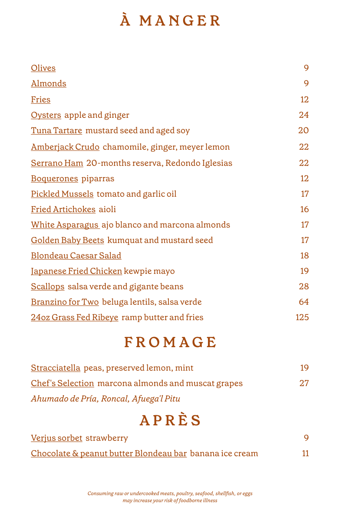# **À MANGER**

| <b>Olives</b>                                   | 9   |
|-------------------------------------------------|-----|
| <b>Almonds</b>                                  | 9   |
| <b>Fries</b>                                    | 12  |
| Oysters apple and ginger                        | 24  |
| Tuna Tartare mustard seed and aged soy          | 20  |
| Amberjack Crudo chamomile, ginger, meyer lemon  | 22  |
| Serrano Ham 20-months reserva, Redondo Iglesias | 22  |
| Boquerones piparras                             | 12  |
| Pickled Mussels tomato and garlic oil           | 17  |
| <b>Fried Artichokes aioli</b>                   | 16  |
| White Asparagus ajo blanco and marcona almonds  | 17  |
| Golden Baby Beets kumquat and mustard seed      | 17  |
| Blondeau Caesar Salad                           | 18  |
| Japanese Fried Chicken kewpie mayo              | 19  |
| Scallops salsa verde and gigante beans          | 28  |
| Branzino for Two beluga lentils, salsa verde    | 64  |
| 24oz Grass Fed Ribeye ramp butter and fries     | 125 |

## **FROMAGE**

| Stracciatella peas, preserved lemon, mint          | 19 |
|----------------------------------------------------|----|
| Chef's Selection marcona almonds and muscat grapes | 27 |
| Ahumado de Pría, Roncal, Afuega'l Pitu             |    |

**APRÈS**

| Verjus sorbet strawberry                                |  |
|---------------------------------------------------------|--|
| Chocolate & peanut butter Blondeau bar banana ice cream |  |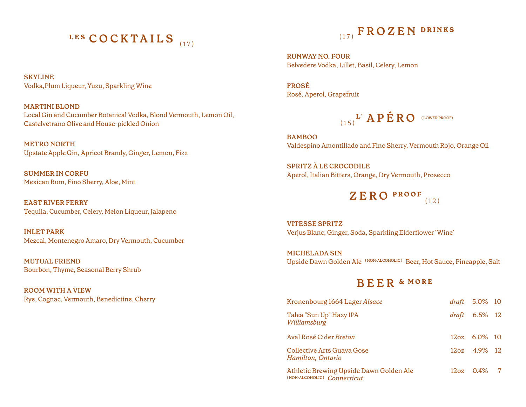# **LES COCKTAILS** (17)

**SKYLINE** Vodka,Plum Liqueur, Yuzu, Sparkling Wine

**MARTINI BLOND** Local Gin and Cucumber Botanical Vodka, Blond Vermouth, Lemon Oil, Castelvetrano Olive and House-pickled Onion

**METRO NORTH** Upstate Apple Gin, Apricot Brandy, Ginger, Lemon, Fizz

**SUMMER IN CORFU**  Mexican Rum, Fino Sherry, Aloe, Mint

**EAST RIVER FERRY** Tequila, Cucumber, Celery, Melon Liqueur, Jalapeno

**INLET PARK** Mezcal, Montenegro Amaro, Dry Vermouth, Cucumber

**MUTUAL FRIEND** Bourbon, Thyme, Seasonal Berry Shrub

**ROOM WITH A VIEW** Rye, Cognac, Vermouth, Benedictine, Cherry

# (17) **FROZEN DRINKS**

**RUNWAY NO. FOUR** Belvedere Vodka, Lillet, Basil, Celery, Lemon

**FROSÉ** Rosé, Aperol, Grapefruit

 $\mathbf{L}^{\mathsf{T}}$  **APÉRO** (LOWER PROOF)

**BAMBOO** Valdespino Amontillado and Fino Sherry, Vermouth Rojo, Orange Oil

**SPRITZ À LE CROCODILE** Aperol, Italian Bitters, Orange, Dry Vermouth, Prosecco

> **ZERO PROOF**  (12)

**VITESSE SPRITZ** Verjus Blanc, Ginger, Soda, Sparkling Elderflower 'Wine'

**MICHELADA SIN** Upside Dawn Golden Ale **( NON-ALCOHOLIC )** Beer, Hot Sauce, Pineapple, Salt

## **BEER & MORE**

| Kronenbourg 1664 Lager Alsace                                          |  | <i>draft</i> 5.0% 10        |  |
|------------------------------------------------------------------------|--|-----------------------------|--|
| Talea "Sun Up" Hazy IPA<br>Williamsburg                                |  | $draft$ 6.5% 12             |  |
| Aval Rosé Cider Breton                                                 |  | 12oz 6.0% 10                |  |
| Collective Arts Guava Gose<br>Hamilton, Ontario                        |  | $12oz \quad 4.9\% \quad 12$ |  |
| Athletic Brewing Upside Dawn Golden Ale<br>(NON-ALCOHOLIC) Connecticut |  | $12oz \quad 0.4\% \quad 7$  |  |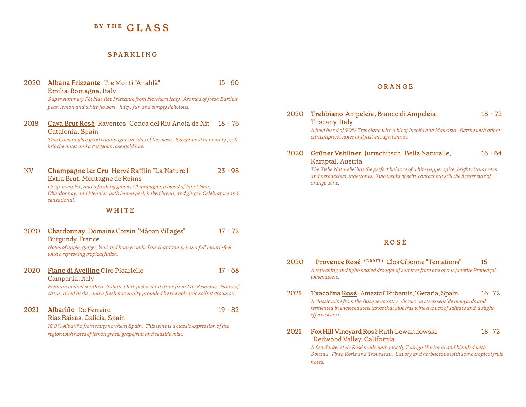## **BY THE GLASS**

### **SPARKLING**

- 2020 **Albana Frizzante** Tre Monti "Anablà" 15 · 60 Emilia-Romagna, Italy *Super summery Pét Nat-like Frizzante from Northern Italy. Aromas of fresh Bartlett pear, lemon and white flowers. Juicy, fun and simply delicious.*
- 2018 **Cava Brut Rosé** Raventos "Conca del Riu Anoia de Nit" 18 · 76 Catalonia, Spain

*This Cava rivals a good champagne any day of the week. Exceptional minerality , soft brioche notes and a gorgeous rose-gold hue.* 

NV **Champagne 1er Cru** Hervé Rafflin "La Nature'l" 23 · 98 Extra Brut, Montagne de Reims *Crisp, complex, and refreshing grower Champagne, a blend of Pinot Noir,* 

*Chardonnay, and Meunier, with lemon peel, baked bread, and ginger. Celebratory and sensational.* 

## **WHITE**

| 2020 | Chardonnay Domaine Corsin "Mâcon Villages"<br><b>Burgundy, France</b>                                                                                                          | $17 \cdot 72$ |
|------|--------------------------------------------------------------------------------------------------------------------------------------------------------------------------------|---------------|
|      | Notes of apple, ginger, kiwi and honeycomb. This chardonnay has a full mouth-feel<br>with a refreshing tropical finish.                                                        |               |
| 2020 | Fiano di Avellino Ciro Picariello                                                                                                                                              | $17 \cdot 68$ |
|      | Campania, Italy                                                                                                                                                                |               |
|      | Medium bodied southern Italian white just a short drive from Mt. Vesuvius. Notes of<br>citrus, dried herbs, and a fresh minerality provided by the volcanic soils it grows on. |               |
| 2021 | Albariño Do Ferreiro                                                                                                                                                           | $19 \cdot 82$ |
|      | Rias Baixas, Galicia, Spain                                                                                                                                                    |               |
|      | 100% Albariño from rainy northern Spain. This wine is a classic expression of the                                                                                              |               |
|      | region with notes of lemon grass, grapefruit and seaside mist.                                                                                                                 |               |
|      |                                                                                                                                                                                |               |
|      |                                                                                                                                                                                |               |

### **O R A N G E**

- 2020 **Trebbiano** Ampeleia, Bianco di Ampeleia 18 · 72 Tuscany, Italy *A field blend of 90% Trebbiano with a bit of Inzolia and Malvasia. Earthy with bright citrus/apricot notes and just enough tannin.*
- 2020 **Grüner Veltliner** Jurtschitsch "Belle Naturelle," 16 · 64 Kamptal, Austria

*The 'Belle Naturelle' has the perfect balance of white pepper spice, bright citrus notes and herbaceous undertones. Two weeks of skin-contact but still the lighter side of orange wine.*

## **R O S É**

- 2020 **Provence Rosé ( DRAFT )** Clos Cibonne "Tentations" 15· *A refreshing and light-bodied drought of summer from one of our favorite Provençal winemakers.*
- 2021 **Txacolina Rosé** Ameztoi"Rubentis," Getaria, Spain 16· 72 *A classic wine from the Basque country. Grown on steep seaside vineyards and fermented in enclosed steel tanks that give this wine a touch of salinity and a slight effervescence.*
- 2021 **Fox Hill Vineyard Rosé** Ruth Lewandowski 18· 72 Redwood Valley, California *A fun darker style Rosé made with mostly Touriga Nacional and blended with Souzau, Tinta Roriz and Trousseau. Savory and herbaceous with some tropical fruit*

*notes.*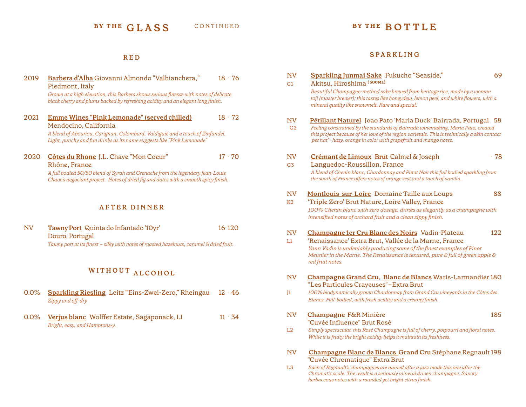## BY THE GLASS CONTINUED BY THE BOTTLE

## **RED**

| 2019 | Barbera d'Alba Giovanni Almondo "Valbianchera,"<br>Piedmont, Italy                                                                                                      | $18 \cdot 76$ |
|------|-------------------------------------------------------------------------------------------------------------------------------------------------------------------------|---------------|
|      | Grown at a high elevation, this Barbera shows serious finesse with notes of delicate<br>black cherry and plums backed by refreshing acidity and an elegant long finish. |               |
| 2021 | Emme Wines "Pink Lemonade" (served chilled)<br>Mendocino, California                                                                                                    | $18 \cdot 72$ |
|      | A blend of Abouriou, Carignan, Colombard, Valdiguié and a touch of Zinfandel.<br>Light, punchy and fun drinks as its name suggests like "Pink Lemonade"                 |               |
| 2020 | Côtes du Rhone J.L. Chave "Mon Coeur"<br>Rhône, France                                                                                                                  | $17 \cdot 70$ |
|      | A full bodied 50/50 blend of Syrah and Grenache from the legendary Jean-Louis<br>Chave's negociant project. Notes of dried fig and dates with a smooth spicy finish.    |               |
|      | <b>AFTER DINNER</b>                                                                                                                                                     |               |
| NV   | Tawny Port Quinta do Infantado '10yr'<br>Douro, Portugal                                                                                                                | 16.120        |
|      | Tawny port at its finest - silky with notes of roasted hazelnuts, caramel & dried fruit.                                                                                |               |
|      | WITHOUT ALCOHOL                                                                                                                                                         |               |
| 0.0% | <b>Sparkling Riesling Leitz "Eins-Zwei-Zero," Rheingau</b><br>Zippy and off-dry                                                                                         | $12 \cdot 46$ |
| 0.0% | Verjus blanc Wolffer Estate, Sagaponack, LI<br>Bright, easy, and Hamptons-y.                                                                                            | $11 \cdot 34$ |
|      |                                                                                                                                                                         |               |
|      |                                                                                                                                                                         |               |

## **SPARKLING**

| NV<br>G <sub>1</sub> | Sparkling Junmai Sake Fukucho "Seaside,"<br>Akitsu, Hiroshima (500ML)                                                                                                                                                                                                                                                    | 69    |
|----------------------|--------------------------------------------------------------------------------------------------------------------------------------------------------------------------------------------------------------------------------------------------------------------------------------------------------------------------|-------|
|                      | Beautiful Champagne-method sake brewed from heritage rice, made by a woman<br>toji (master brewer); this tastes like honeydew, lemon peel, and white flowers, with a<br>mineral quality like snowmelt. Rare and special.                                                                                                 |       |
| NV<br>G <sub>2</sub> | Pétillant Naturel Joao Pato 'Maria Duck' Bairrada, Portugal 58<br>Feeling constrained by the standards of Bairrada winemaking, Maria Pato, created<br>this project because of her love of the region varietals. This is technically a skin contact<br>'pet nat' - hazy, orange in color with grapefruit and mango notes. |       |
| NV                   | Crémant de Limoux Brut Calmel & Joseph                                                                                                                                                                                                                                                                                   | $-78$ |
| G <sub>3</sub>       | Languedoc-Roussillon, France<br>A blend of Chenin blanc, Chardonnay and Pinot Noir this full bodied sparkling from<br>the south of France offers notes of orange zest and a touch of vanilla.                                                                                                                            |       |
| NV                   | Montlouis-sur-Loire Domaine Taille aux Loups                                                                                                                                                                                                                                                                             | 88    |
| K2                   | 'Triple Zero' Brut Nature, Loire Valley, France                                                                                                                                                                                                                                                                          |       |
|                      | 100% Chenin blanc with zero dosage, drinks as elegantly as a champagne with<br>intensified notes of orchard fruit and a clean zippy finish.                                                                                                                                                                              |       |
| NV                   | Champagne 1er Cru Blanc des Noirs Vadin-Plateau                                                                                                                                                                                                                                                                          | 122   |
| L1                   | 'Renaissance' Extra Brut, Vallée de la Marne, France                                                                                                                                                                                                                                                                     |       |
|                      | Yann Vadin is undeniably producing some of the finest examples of Pinot<br>Meunier in the Marne. The Renaissance is textured, pure & full of green apple &<br>red fruit notes.                                                                                                                                           |       |
| <b>NV</b>            | Champagne Grand Cru, Blanc de Blancs Waris-Larmandier 180<br>"Les Particules Crayeuses"-Extra Brut                                                                                                                                                                                                                       |       |
| J1                   | 100% biodynamically grown Chardonnay from Grand Cru vineyards in the Côtes des                                                                                                                                                                                                                                           |       |
|                      | Blancs. Full-bodied, with fresh acidity and a creamy finish.                                                                                                                                                                                                                                                             |       |
| NV                   | Champagne F&R Minière<br>"Cuvée Influence" Brut Rosé                                                                                                                                                                                                                                                                     | 185   |
| L2                   | Simply spectacular, this Rosé Champagne is full of cherry, potpourri and floral notes.                                                                                                                                                                                                                                   |       |
|                      | While it is fruity the bright acidity helps it maintain its freshness.                                                                                                                                                                                                                                                   |       |
| NV                   | Champagne Blanc de Blancs Grand Cru Stéphane Regnault 198<br>"Cuvée Chromatique" Extra Brut                                                                                                                                                                                                                              |       |
| L3                   | Each of Regnault's champagnes are named after a jazz mode this one after the<br>Chromatic scale. The result is a seriously mineral driven champagne. Savory                                                                                                                                                              |       |

*herbaceous notes with a rounded yet bright citrus finish.*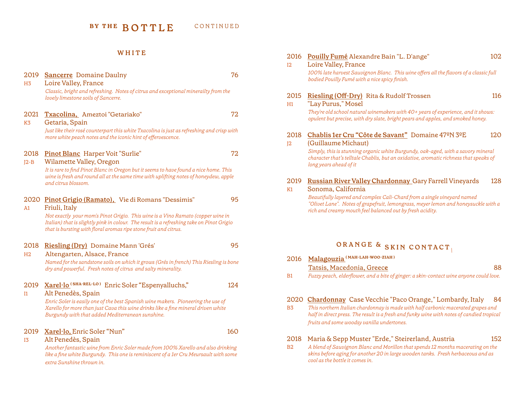## **W H I T E**

| 2019<br>H <sub>3</sub> | <b>Sancerre</b> Domaine Daulny<br>Loire Valley, France<br>Classic, bright and refreshing. Notes of citrus and exceptional minerailty from the<br>lovely limestone soils of Sancerre.                                                                                                                                      | 76  |
|------------------------|---------------------------------------------------------------------------------------------------------------------------------------------------------------------------------------------------------------------------------------------------------------------------------------------------------------------------|-----|
| 2021<br>K <sub>3</sub> | Txacolina, Ameztoi "Getariako"<br>Getaria, Spain<br>Just like their rosé counterpart this white Txacolina is just as refreshing and crisp with<br>more white peach notes and the iconic hint of effervescence.                                                                                                            | 72  |
| 2018<br>$I2-B$         | Pinot Blanc Harper Voit "Surlie"<br>Wilamette Valley, Oregon<br>It is rare to find Pinot Blanc in Oregon but it seems to have found a nice home. This<br>wine is fresh and round all at the same time with uplifting notes of honeydew, apple<br>and citrus blossom.                                                      | 72  |
| A <sub>1</sub>         | 2020 Pinot Grigio (Ramato), Vie di Romans "Dessimis"<br>Friuli, Italy<br>Not exactly your mom's Pinot Grigio. This wine is a Vino Ramato (copper wine in<br>Italian) that is slightly pink in colour. The result is a refreshing take on Pinot Grigio<br>that is bursting with floral aromas ripe stone fruit and citrus. | 95  |
| 2018<br>H <sub>2</sub> | Riesling (Dry) Domaine Mann 'Grés'<br>Altengarten, Alsace, France<br>Named for the sandstone soils on which it grows (Grés in french) This Riesling is bone<br>dry and powerful. Fresh notes of citrus and salty minerality.                                                                                              | 95  |
| 2019<br>I1             | Xarel·lo (SHA-REL-LO) Enric Soler "Espenyalluchs,"<br>Alt Penedès, Spain<br>Enric Soler is easily one of the best Spanish wine makers. Pioneering the use of<br>Xarello for more than just Cava this wine drinks like a fine mineral driven white<br>Burgundy with that added Mediterranean sunshine.                     | 124 |
| 2019<br>I <sub>3</sub> | Xarel·lo, Enric Soler "Nun"<br>Alt Penedès, Spain<br>Another fantastic wine from Enric Soler made from 100% Xarello and also drinking<br>like a fine white Burgundy. This one is reminiscent of a 1er Cru Meursault with some<br>extra Sunshine thrown in.                                                                | 160 |

| 2016<br>12 | Pouilly Fumé Alexandre Bain "L. D'ange"<br>Loire Valley, France                                                                                                                                                            | 102 |
|------------|----------------------------------------------------------------------------------------------------------------------------------------------------------------------------------------------------------------------------|-----|
|            | 100% late harvest Sauvignon Blanc. This wine offers all the flavors of a classic full<br>bodied Pouilly Fumé with a nice spicy finish.                                                                                     |     |
| 2015<br>H1 | Riesling (Off-Dry) Rita & Rudolf Trossen<br>"Lay Purus," Mosel                                                                                                                                                             | 116 |
|            | They're old school natural winemakers with 40+ years of experience, and it shows:<br>opulent but precise, with dry slate, bright pears and apples, and smoked honey.                                                       |     |
| 2018<br>12 | Chablis 1er Cru "Côte de Savant" Domaine 47ºN 3ºE<br>(Guillaume Michaut)                                                                                                                                                   | 120 |
|            | Simply, this is stunning organic white Burgundy, oak-aged, with a savory mineral<br>character that's telltale Chablis, but an oxidative, aromatic richness that speaks of<br>long years ahead of it                        |     |
| 2019<br>K1 | Russian River Valley Chardonnay Gary Farrell Vineyards<br>Sonoma, California                                                                                                                                               | 128 |
|            | Beautifully layered and complex Cali-Chard from a single vineyard named<br>"Olivet Lane". Notes of grapefruit, lemongrass, meyer lemon and honeysuckle with a<br>rich and creamy mouth feel balanced out by fresh acidity. |     |
|            |                                                                                                                                                                                                                            |     |
|            | ORANGE & SKIN CONTACT                                                                                                                                                                                                      |     |
| 2016       | Malagouzia <sup>(MAH-LAH-WOO-ZIAH)</sup>                                                                                                                                                                                   |     |
|            | Tatsis, Macedonia, Greece                                                                                                                                                                                                  | 88  |
| B1         | Fuzzy peach, elderflower, and a bite of ginger: a skin-contact wine anyone could love.                                                                                                                                     |     |
|            | 2020 Chardonnay Case Vecchie "Paco Orange," Lombardy, Italy                                                                                                                                                                | 84  |

B3 *This northern Italian chardonnay is made with half carbonic macerated grapes and half in direct press. The result is a fresh and funky wine with notes of candied tropical fruits and some woodsy vanilla undertones.* 

## 2018 Maria & Sepp Muster "Erde," Steirerland, Austria 152

B2 *A blend of Sauvignon Blanc and Morillon that spends 12 months macerating on the skins before aging for another 20 in large wooden tanks. Fresh herbaceous and as cool as the bottle it comes in.*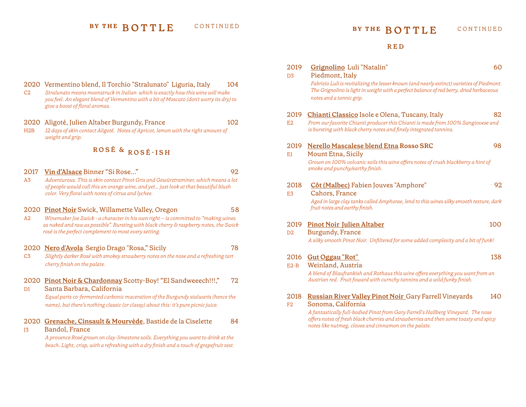**BY THE BOTTLE** CONTINUED **BY THE BOTTLE** CONTINUED

#### **RED**

| 2019<br>D <sub>3</sub> | Grignolino Luli "Natalin"<br>Piedmont, Italy                                                                                                                                                                                                                                                                       | .60        |
|------------------------|--------------------------------------------------------------------------------------------------------------------------------------------------------------------------------------------------------------------------------------------------------------------------------------------------------------------|------------|
|                        | Fabrizio Luli is revitalizing the lesser known (and nearly extinct) varieties of Piedmont.<br>The Grignolino is light in weight with a perfect balance of red berry, dried herbaceous<br>notes and a tannic grip.                                                                                                  |            |
| 2019<br>E2             | Chianti Classico Isole e Olena, Tuscany, Italy<br>From our favorite Chianti producer this Chianti is made from 100% Sangiovese and<br>is bursting with black cherry notes and finely integrated tannins.                                                                                                           | 82         |
| 2019<br>E1             | Nerello Mascalese blend Etna Rosso SRC<br>Mount Etna, Sicily<br>Grown on 100% volcanic soils this wine offers notes of crush blackberry a hint of<br>smoke and punchy/earthy finish.                                                                                                                               | 98         |
| 2018<br>E <sub>3</sub> | Côt (Malbec) Fabien Jouves "Amphore"<br>Cahors, France<br>Aged in large clay tanks called Amphorae, lend to this wines silky smooth texture, dark<br>fruit notes and earthy finish.                                                                                                                                | $\cdot$ 92 |
| 2019<br>D2             | <b>Pinot Noir Julien Altaber</b><br>Burgundy, France<br>A silky smooth Pinot Noir. Unfiltered for some added complexity and a bit of funk!                                                                                                                                                                         | 100        |
| 2016<br>$E2-B$         | Gut Oggau "Rot"<br>Weinland, Austria<br>A blend of Blaufrankish and Rothaus this wine offers everything you want from an<br>Austrian red. Fruit foward with curnchy tannins and a wild funky finish.                                                                                                               | 138        |
| 2018<br>F2             | Russian River Valley Pinot Noir Gary Farrell Vineyards<br>Sonoma, California<br>A fantastically full-bodied Pinot from Gary Farrell's Hallberg Vineyard. The nose<br>offers notes of fresh black cherries and strawberries and then some toasty and spicy<br>notes like nutmeg, cloves and cinnamon on the palate. | 140        |

- 2020 Vermentino blend, Il Torchio "Stralunato" Liguria, Italy 104
- C2 *Stralunato means moonstruck in Italian which is exactly how this wine will make you feel. An elegant blend of Vermentino with a bit of Moscato (don't worry its dry) to give a boost of floral aromas.*
- 2020 Aligoté, Julien Altaber Burgundy, France 102
- H2B *12 days of skin contact Aligoté. Notes of Apricot, lemon with the right amount of weight and grip.*

## **ROSÉ & ROSÉ-ISH**

- 2017 **Vin d'Alsace** Binner "Si Rose..." 92
- A3 *Adventurous. This is skin contact Pinot Gris and Gewürztraminer, which means a lot of people would call this an orange wine, and yet… just look at that beautiful blush color. Very floral with notes of citrus and lychee.*

### 2020 **Pinot Noir** Swick, Willamette Valley, Oregon 5 8

A2 *Winemaker Joe Swick - a character in his own right – is committed to "making wines as naked and raw as possible". Bursting with black cherry & raspberry notes, the Swick rosé is the perfect complement to most every setting.* 

2020 **Nero d'Avola** Sergio Drago "Rosa," Sicily 78

C3 *Slightly darker Rosé with smokey strawberry notes on the nose and a refreshing tart cherry finish on the palate.* 

## 2020 **Pinot Noir & Chardonnay** Scotty-Boy! "El Sandweeech!!!," 72

D1 Santa Barbara, California

*Equal parts co-fermented carbonic maceration of the Burgundy stalwarts (hence the name), but there's nothing classic (or classy) about this: it's pure picnic juice.* 

### 2020 **Grenache, Cinsault & Mourvède**, Bastide de la Ciselette 84

J3 Bandol, France

*A provence Rosé grown on clay-limestone soils. Everything you want to drink at the beach. Light, crisp, with a refreshing with a dry finish and a touch of grapefruit zest.*